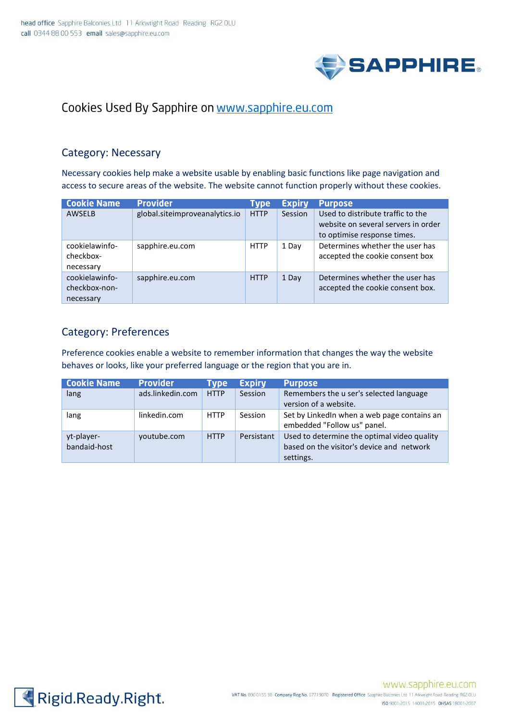

# Cookies Used By Sapphire on www.sapphire.eu.com

#### Category: Necessary

Necessary cookies help make a website usable by enabling basic functions like page navigation and access to secure areas of the website. The website cannot function properly without these cookies.

| <b>Cookie Name</b>                           | <b>Provider</b>                | Type        | <b>Expiry</b> | <b>Purpose</b>                                                                                          |
|----------------------------------------------|--------------------------------|-------------|---------------|---------------------------------------------------------------------------------------------------------|
| <b>AWSELB</b>                                | global.siteimproveanalytics.io | <b>HTTP</b> | Session       | Used to distribute traffic to the<br>website on several servers in order<br>to optimise response times. |
| cookielawinfo-<br>checkbox-<br>necessary     | sapphire.eu.com                | <b>HTTP</b> | 1 Day         | Determines whether the user has<br>accepted the cookie consent box                                      |
| cookielawinfo-<br>checkbox-non-<br>necessary | sapphire.eu.com                | <b>HTTP</b> | 1 Day         | Determines whether the user has<br>accepted the cookie consent box.                                     |

### Category: Preferences

Preference cookies enable a website to remember information that changes the way the website behaves or looks, like your preferred language or the region that you are in.

| <b>Cookie Name</b> | Provider         | Tvpe        | <b>Expiry</b> | <b>Purpose</b>                              |
|--------------------|------------------|-------------|---------------|---------------------------------------------|
| lang               | ads.linkedin.com | <b>HTTP</b> | Session       | Remembers the u ser's selected language     |
|                    |                  |             |               | version of a website.                       |
| lang               | linkedin.com     | <b>HTTP</b> | Session       | Set by LinkedIn when a web page contains an |
|                    |                  |             |               | embedded "Follow us" panel.                 |
| yt-player-         | youtube.com      | <b>HTTP</b> | Persistant    | Used to determine the optimal video quality |
| bandaid-host       |                  |             |               | based on the visitor's device and network   |
|                    |                  |             |               | settings.                                   |

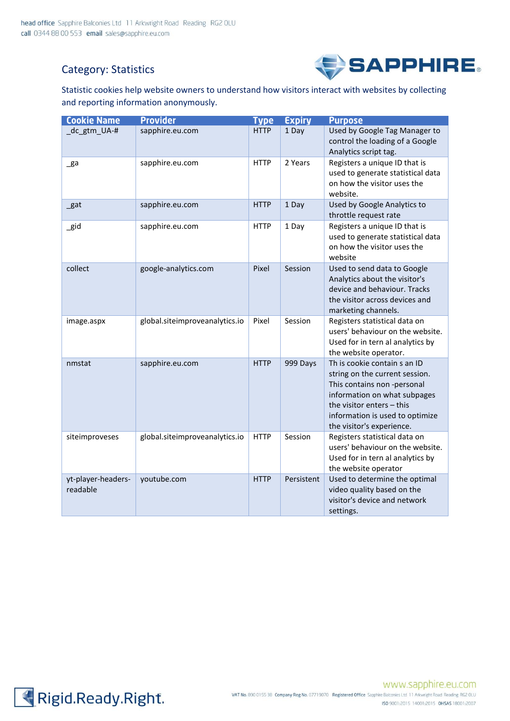## Category: Statistics



Statistic cookies help website owners to understand how visitors interact with websites by collecting and reporting information anonymously.

| <b>Cookie Name</b>             | <b>Provider</b>                | <b>Type</b> | <b>Expiry</b> | <b>Purpose</b>                                                                                                                                                                                                             |
|--------------------------------|--------------------------------|-------------|---------------|----------------------------------------------------------------------------------------------------------------------------------------------------------------------------------------------------------------------------|
| _dc_gtm_UA-#                   | sapphire.eu.com                | <b>HTTP</b> | 1 Day         | Used by Google Tag Manager to<br>control the loading of a Google<br>Analytics script tag.                                                                                                                                  |
| $\mathsf{g}$ a                 | sapphire.eu.com                | <b>HTTP</b> | 2 Years       | Registers a unique ID that is<br>used to generate statistical data<br>on how the visitor uses the<br>website.                                                                                                              |
| _gat                           | sapphire.eu.com                | <b>HTTP</b> | 1 Day         | Used by Google Analytics to<br>throttle request rate                                                                                                                                                                       |
| _gid                           | sapphire.eu.com                | <b>HTTP</b> | 1 Day         | Registers a unique ID that is<br>used to generate statistical data<br>on how the visitor uses the<br>website                                                                                                               |
| collect                        | google-analytics.com           | Pixel       | Session       | Used to send data to Google<br>Analytics about the visitor's<br>device and behaviour. Tracks<br>the visitor across devices and<br>marketing channels.                                                                      |
| image.aspx                     | global.siteimproveanalytics.io | Pixel       | Session       | Registers statistical data on<br>users' behaviour on the website.<br>Used for in tern al analytics by<br>the website operator.                                                                                             |
| nmstat                         | sapphire.eu.com                | <b>HTTP</b> | 999 Days      | Th is cookie contain s an ID<br>string on the current session.<br>This contains non -personal<br>information on what subpages<br>the visitor enters - this<br>information is used to optimize<br>the visitor's experience. |
| siteimproveses                 | global.siteimproveanalytics.io | <b>HTTP</b> | Session       | Registers statistical data on<br>users' behaviour on the website.<br>Used for in tern al analytics by<br>the website operator                                                                                              |
| yt-player-headers-<br>readable | youtube.com                    | <b>HTTP</b> | Persistent    | Used to determine the optimal<br>video quality based on the<br>visitor's device and network<br>settings.                                                                                                                   |